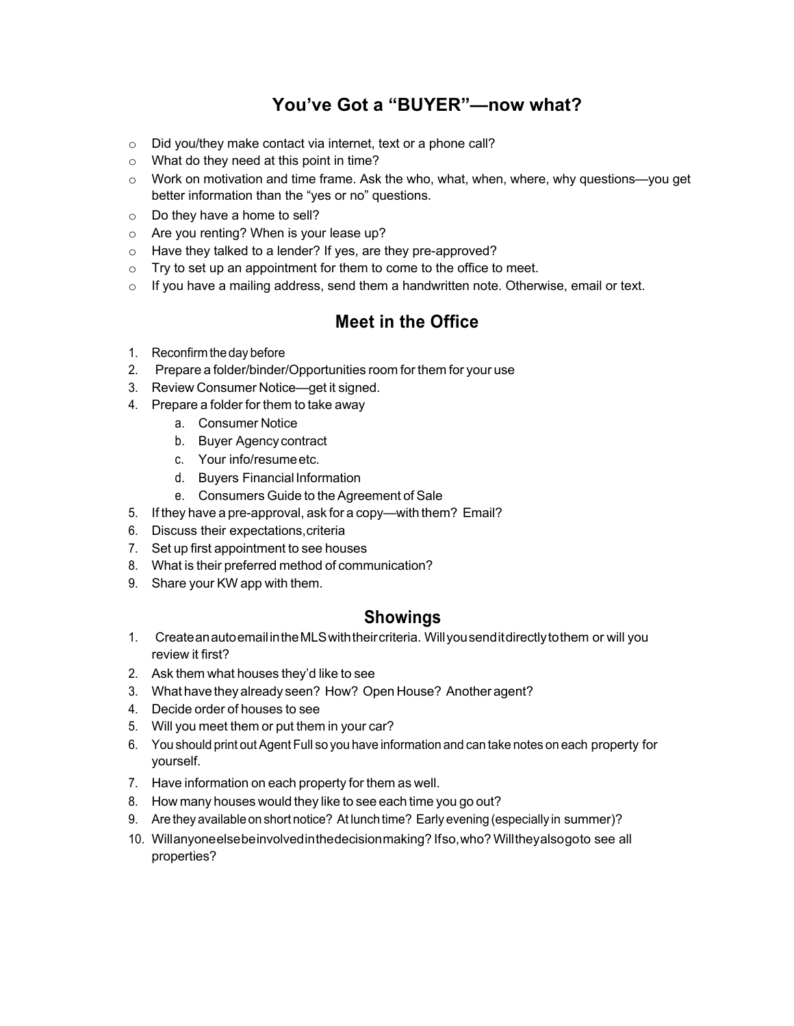# **You've Got a "BUYER"—now what?**

- o Did you/they make contact via internet, text or a phone call?
- o What do they need at this point in time?
- $\circ$  Work on motivation and time frame. Ask the who, what, when, where, why questions—you get better information than the "yes or no" questions.
- o Do they have a home to sell?
- o Are you renting? When is your lease up?
- o Have they talked to a lender? If yes, are they pre-approved?
- $\circ$  Try to set up an appointment for them to come to the office to meet.
- $\circ$  If you have a mailing address, send them a handwritten note. Otherwise, email or text.

#### **Meet in the Office**

- 1. Reconfirm the day before
- 2. Prepare a folder/binder/Opportunities room for them for your use
- 3. Review Consumer Notice—get it signed.
- 4. Prepare a folder for them to take away
	- a. Consumer Notice
	- b. Buyer Agency contract
	- c. Your info/resumeetc.
	- d. Buyers FinancialInformation
	- e. Consumers Guide to the Agreement of Sale
- 5. If they have a pre-approval, ask for a copy—with them? Email?
- 6. Discuss their expectations,criteria
- 7. Set up first appointment to see houses
- 8. What is their preferred method of communication?
- 9. Share your KW app with them.

#### **Showings**

- 1. CreateanautoemailintheMLSwiththeircriteria. Willyousenditdirectlytothem or will you review it first?
- 2. Ask them what houses they'd like to see
- 3. What have they already seen? How? Open House? Another agent?
- 4. Decide order of houses to see
- 5. Will you meet them or put them in your car?
- 6. You should print out Agent Full so you have information and can take notes on each property for yourself.
- 7. Have information on each property for them as well.
- 8. How many houses would they like to see each time you go out?
- 9. Are they available on short notice? At lunch time? Early evening (especially in summer)?
- 10. Willanyoneelsebeinvolvedinthedecisionmaking? Ifso,who? Willtheyalsogoto see all properties?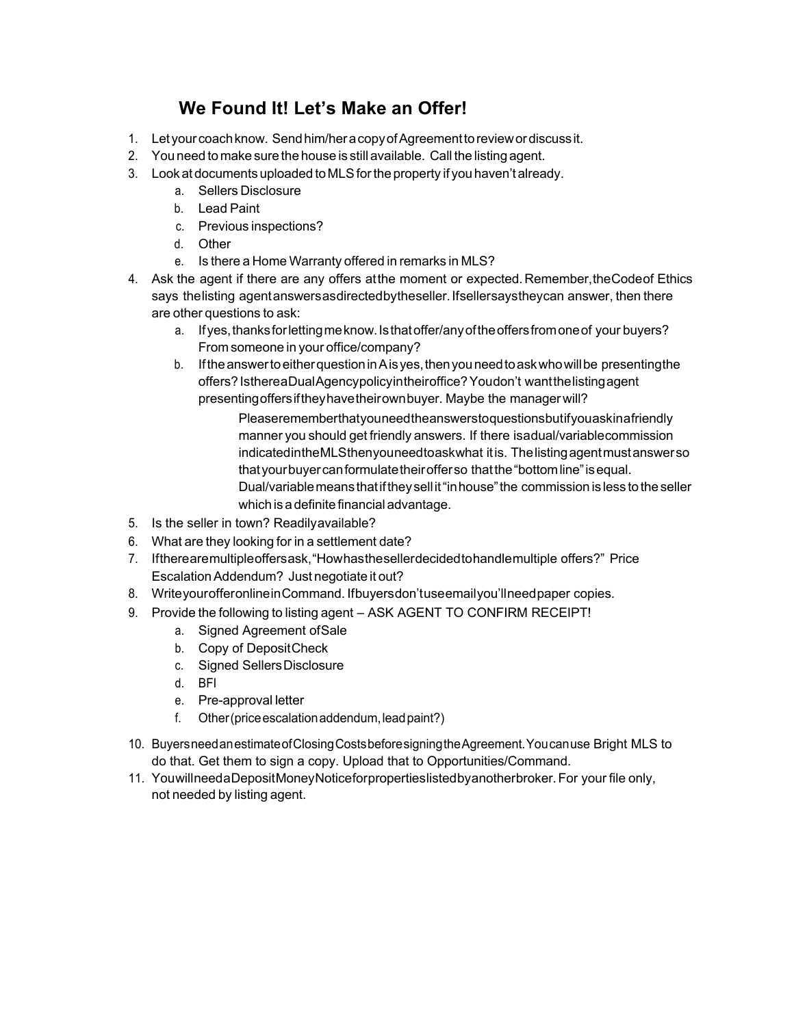# **We Found It! Let's Make an Offer!**

- 1. Let yourcoachknow. Sendhim/heracopyofAgreementtoreviewordiscussit.
- 2. You need to make sure the house is still available. Call the listing agent.
- 3. Lookat documents uploaded toMLSfortheproperty if youhaven't already.
	- a. Sellers Disclosure
	- b. Lead Paint
	- c. Previous inspections?
	- d. Other
	- e. Is there a Home Warranty offered in remarks in MLS?
- 4. Ask the agent if there are any offers at the moment or expected. Remember, the Code of Ethics says thelisting agent answers as directed by the seller. If sellers ays they can answer, then there are other questions to ask:
	- a. Ifyes,thanksforlettingmeknow.Isthatoffer/anyoftheoffersfromoneof your buyers? From someone in your office/company?
	- b. IftheanswertoeitherquestioninAisyes,thenyouneedtoaskwhowillbe presentingthe offers?IsthereaDualAgencypolicyintheiroffice?Youdon't wantthelistingagent presentingoffersiftheyhavetheirownbuyer. Maybe the managerwill?

Pleaserememberthatyouneedtheanswerstoquestionsbutifyouaskinafriendly manner you should get friendly answers. If there isadual/variablecommission indicatedintheMLSthenyouneedtoaskwhat itis. Thelistingagentmustanswerso thatyourbuyercanformulatetheirofferso thatthe"bottomline"isequal. Dual/variablemeansthatiftheysell it"inhouse"the commission is less totheseller which is a definite financial advantage.

- 5. Is the seller in town? Readilyavailable?
- 6. What are they looking for in a settlement date?
- 7. Iftherearemultipleoffersask,"Howhasthesellerdecidedtohandlemultiple offers?" Price Escalation Addendum? Just negotiate it out?
- 8. WriteyourofferonlineinCommand. Ifbuyersdon'tuseemailyou'llneedpaper copies.
- 9. Provide the following to listing agent ASK AGENT TO CONFIRM RECEIPT!
	- a. Signed Agreement ofSale
	- b. Copy of DepositCheck
	- c. Signed SellersDisclosure
	- d. BFI
	- e. Pre-approval letter
	- f. Other (price escalation addendum, lead paint?)
- 10. BuyersneedanestimateofClosingCostsbeforesigningtheAgreement.Youcanuse Bright MLS to do that. Get them to sign a copy. Upload that to Opportunities/Command.
- 11. YouwillneedaDepositMoneyNoticeforpropertieslistedbyanotherbroker.For your file only, not needed by listing agent.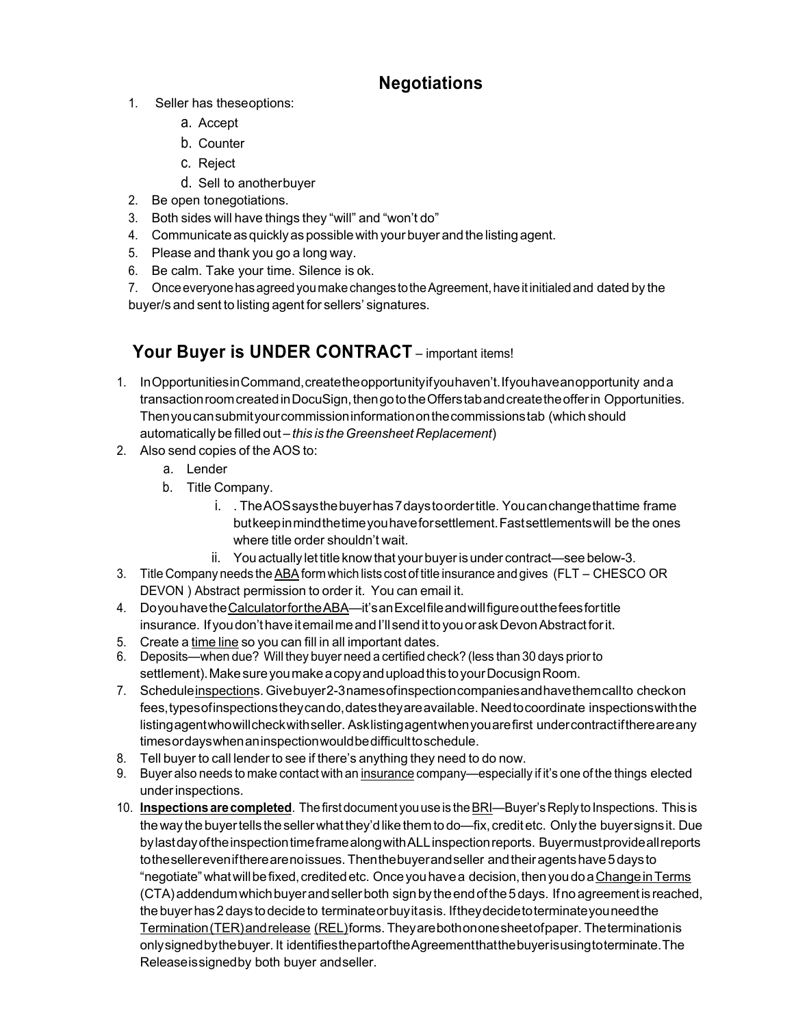# **Negotiations**

- 1. Seller has theseoptions:
	- a. Accept
	- b. Counter
	- c. Reject
	- d. Sell to anotherbuyer
- 2. Be open tonegotiations.
- 3. Both sides will have things they "will" and "won't do"
- 4. Communicate as quickly as possible with your buyer and the listing agent.
- 5. Please and thank you go a long way.
- 6. Be calm. Take your time. Silence is ok.
- 7. OnceeveryonehasagreedyoumakechangestotheAgreement,haveit initialedand dated by the buyer/s and sent to listing agent for sellers' signatures.

# Your Buyer is UNDER CONTRACT – important items!

- 1. InOpportunitiesinCommand,createtheopportunityifyouhaven't.Ifyouhaveanopportunity anda transaction room created in DocuSign, then go to the Offerstab and create the offer in Opportunities. Thenyoucansubmityourcommissioninformationonthecommissionstab (which should automatically be filled out – *this is theGreensheet Replacement*)
- 2. Also send copies of the AOS to:
	- a. Lender
	- b. Title Company.
		- i. . The AOS says the buyer has 7 days to order title. You can change that time frame butkeepinmindthetimeyouhaveforsettlement.Fastsettlementswill be the ones where title order shouldn't wait.
		- ii. Youactually let titleknowthat your buyerisunder contract—see below-3.
- 3. Title Company needs the ABA form which lists cost of title insurance and gives (FLT CHESCO OR DEVON ) Abstract permission to order it. You can email it.
- 4. DoyouhavetheCalculatorfortheABA—it'sanExcelfileandwillfigureoutthefeesfortitle insurance. If you don't have it email me and I'll send it to you or ask Devon Abstract for it.
- 5. Create a time line so you can fill in all important dates.
- 6. Deposits—when due? Will they buyer need a certified check? (less than 30 days priorto settlement). Make sure you make a copy and upload this to your Docusign Room.
- 7. Scheduleinspections. Givebuyer2-3namesofinspectioncompaniesandhavethemcallto checkon fees,typesofinspectionstheycando,datestheyareavailable. Needtocoordinate inspectionswiththe listingagentwhowillcheckwithseller. Asklistingagentwhenyouarefirst undercontractifthereareany timesordayswhenaninspectionwouldbedifficulttoschedule.
- 8. Tell buyer to call lender to see if there's anything they need to do now.
- 9. Buyer also needs to make contact with an insurance company—especially if it's one of the things elected underinspections.
- 10. **Inspections are completed**. The first document you use is the BRI—Buyer's Reply to Inspections. This is the way the buyer tells the seller what they'd like them to do—fix, credit etc. Only the buyer signs it. Due bylastdayoftheinspectiontimeframealongwithALLinspectionreports. Buyermustprovideallreports tothesellereveniftherearenoissues. Thenthebuyerandseller and their agents have 5 days to "negotiate"whatwillbefixed,creditedetc. Onceyouhavea decision,thenyoudoaChangeinTerms (CTA)addendumwhichbuyerandsellerboth signby theendofthe5days. Ifnoagreementisreached, thebuyerhas2days todecideto terminateorbuyitasis. Iftheydecidetoterminateyouneedthe Termination(TER)andrelease (REL)forms. Theyarebothononesheetofpaper. Theterminationis onlysignedbythebuyer. It identifiesthepartoftheAgreementthatthebuyerisusingtoterminate.The Releaseissignedby both buyer andseller.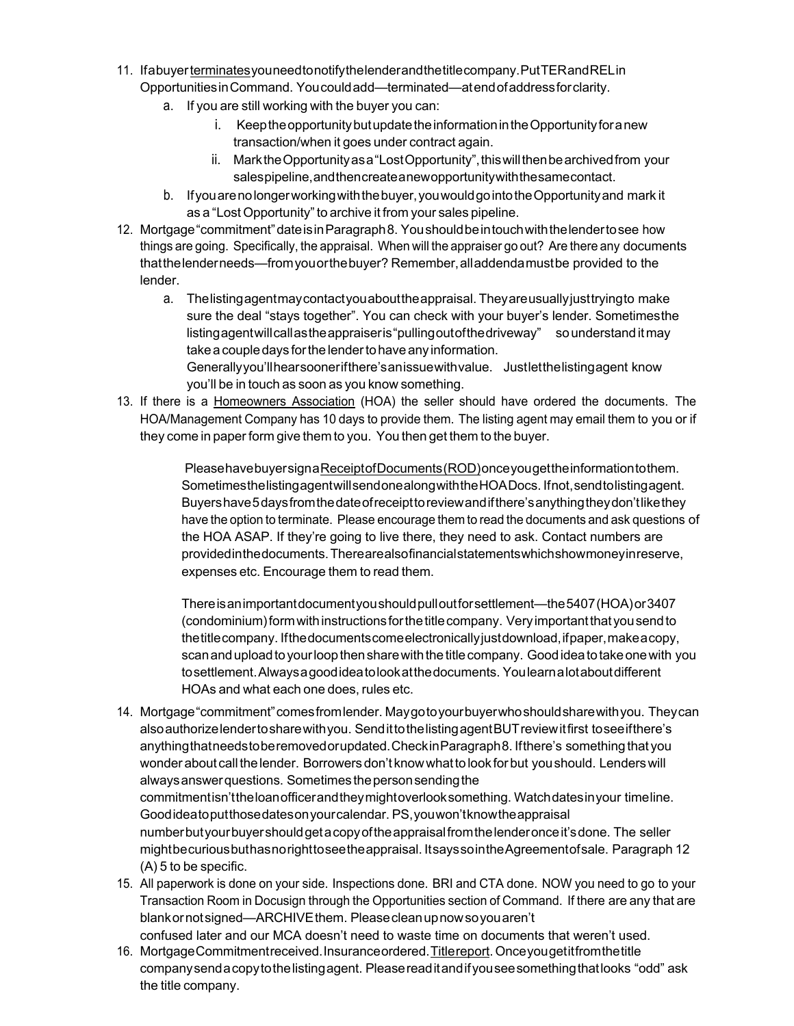- 11. Ifabuyerterminatesyouneedtonotifythelenderandthetitlecompany.PutTERandRELin OpportunitiesinCommand. Youcouldadd—terminated—atendofaddressforclarity.
	- a. If you are still working with the buyer you can:
		- i. Keep the opportunity but update the information in the Opportunity for a new transaction/when it goes under contract again.
		- ii. MarktheOpportunityasa"LostOpportunity",thiswillthenbearchivedfrom your salespipeline,andthencreateanewopportunitywiththesamecontact.
	- b. Ifyouarenolongerworkingwiththebuyer,youwouldgointotheOpportunityand mark it as a "Lost Opportunity" to archive it from your sales pipeline.
- 12. Mortgage"commitment"dateisinParagraph8. Youshouldbeintouchwiththelendertosee how things are going. Specifically, the appraisal. When will the appraiser go out? Are there any documents thatthelenderneeds—fromyouorthebuyer? Remember,alladdendamustbe provided to the lender.
	- a. Thelistingagentmaycontactyouabouttheappraisal. Theyareusuallyjusttryingto make sure the deal "stays together". You can check with your buyer's lender. Sometimesthe listing agent will call as the appraiser is "pulling out of the drive way" sounderstand it may take a couple days for the lender to have any information. Generallyyou'llhearsoonerifthere's anissue with value. Justlet the listing agent know

you'll be in touch as soon as you know something.

13. If there is a Homeowners Association (HOA) the seller should have ordered the documents. The HOA/Management Company has 10 days to provide them. The listing agent may email them to you or if they come in paper form give them to you. You then get them to the buyer.

> PleasehavebuyersignaReceiptofDocuments(ROD)onceyougettheinformationtothem. SometimesthelistingagentwillsendonealongwiththeHOADocs. Ifnot,sendtolistingagent. Buyershave5daysfromthedateofreceipttoreviewandifthere'sanythingtheydon'tlikethey have the option to terminate. Please encourage them to read the documents and ask questions of the HOA ASAP. If they're going to live there, they need to ask. Contact numbers are providedinthedocuments.Therearealsofinancialstatementswhichshowmoneyinreserve, expenses etc. Encourage them to read them.

> Thereisanimportantdocumentyoushouldpulloutforsettlement—the5407(HOA)or3407 (condominium)formwithinstructionsforthetitlecompany. Veryimportantthatyousendto thetitlecompany. Ifthedocumentscomeelectronicallyjustdownload,ifpaper,makeacopy, scan and upload to your loop then share with the title company. Good idea to take one with you tosettlement.Alwaysagoodideatolookatthedocuments. Youlearnalotaboutdifferent HOAs and what each one does, rules etc.

- 14. Mortgage"commitment"comesfromlender. Maygotoyourbuyerwhoshouldsharewithyou. Theycan alsoauthorizelendertosharewithyou. SendittothelistingagentBUTreviewitfirst toseeifthere's anythingthatneedstoberemovedorupdated.CheckinParagraph8. Ifthere's somethingthat you wonder about call the lender. Borrowers don't know what to look for but you should. Lenders will alwaysanswerquestions. Sometimes thepersonsendingthe commitmentisn'ttheloanofficerandtheymightoverlooksomething. Watchdatesinyour timeline. Goodideatoputthosedatesonyourcalendar. PS,youwon'tknowtheappraisal numberbutyourbuyershouldgetacopyoftheappraisalfromthelenderonceit'sdone. The seller mightbecuriousbuthasnorighttoseetheappraisal. ItsayssointheAgreementofsale. Paragraph 12 (A) 5 to be specific.
- 15. All paperwork is done on your side. Inspections done. BRI and CTA done. NOW you need to go to your Transaction Room in Docusign through the Opportunities section of Command. If there are any that are blank or not signed—ARCHIVE them. Please clean up now so you aren't confused later and our MCA doesn't need to waste time on documents that weren't used.
- 16. MortgageCommitmentreceived.Insuranceordered.Titlereport.Onceyougetitfromthetitle companysendacopytothelistingagent. Pleasereaditandifyouseesomethingthatlooks "odd" ask the title company.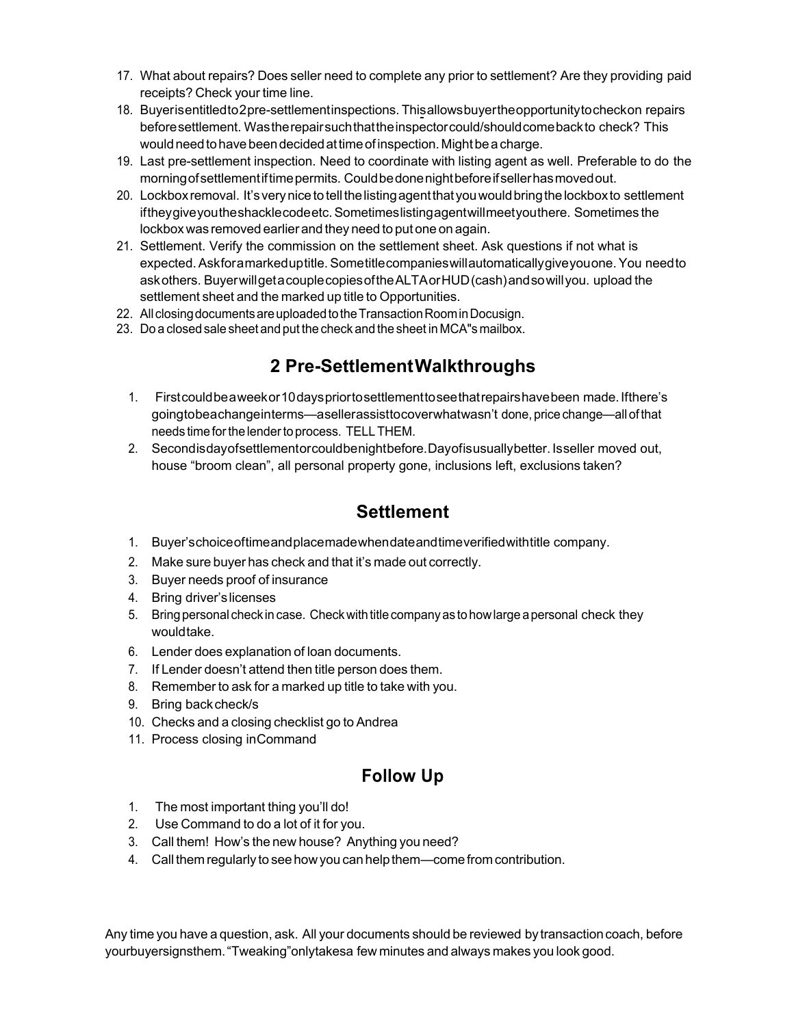- 17. What about repairs? Does seller need to complete any prior to settlement? Are they providing paid receipts? Check your time line.
- 18. Buyerisentitledto2pre-settlementinspections. Thisallowsbuyertheopportunitytocheckon repairs beforesettlement. Wastherepairsuchthattheinspectorcould/shouldcomebackto check? This would need to have been decided at time of inspection. Might be a charge.
- 19. Last pre-settlement inspection. Need to coordinate with listing agent as well. Preferable to do the morningofsettlementiftimepermits. Couldbedonenightbeforeifsellerhasmovedout.
- 20. Lockbox removal. It's very nice to tell the listing agent that you would bring the lockbox to settlement iftheygiveyoutheshacklecodeetc.Sometimeslistingagentwillmeetyouthere. Sometimes the lockbox was removed earlier and they need to put one on again.
- 21. Settlement. Verify the commission on the settlement sheet. Ask questions if not what is expected.Askforamarkeduptitle.Sometitlecompanieswillautomaticallygiveyouone.You needto askothers. BuyerwillgetacouplecopiesoftheALTAorHUD(cash)andsowillyou. upload the settlement sheet and the marked up title to Opportunities.
- 22. All closing documents are uploaded to the Transaction Room in Docusign.
- 23. Do a closed sale sheet and put the check and the sheet in MCA"s mailbox.

### **2 Pre-SettlementWalkthroughs**

- 1. Firstcouldbeaweekor10dayspriortosettlementtoseethatrepairshavebeen made.Ifthere's goingtobeachangeinterms—asellerassisttocoverwhatwasn't done,pricechange—allof that needs time for the lender to process. TELLTHEM.
- 2. Secondisdayofsettlementorcouldbenightbefore.Dayofisusuallybetter. Isseller moved out, house "broom clean", all personal property gone, inclusions left, exclusions taken?

#### **Settlement**

- 1. Buyer'schoiceoftimeandplacemadewhendateandtimeverifiedwithtitle company.
- 2. Make sure buyer has check and that it's made out correctly.
- 3. Buyer needs proof of insurance
- 4. Bring driver'slicenses
- 5. Bring personal check in case. Check with title company as to how large a personal check they wouldtake.
- 6. Lender does explanation of loan documents.
- 7. If Lender doesn't attend then title person does them.
- 8. Remember to ask for a marked up title to take with you.
- 9. Bring back check/s
- 10. Checks and a closing checklist go to Andrea
- 11. Process closing inCommand

### **Follow Up**

- 1. The most important thing you'll do!
- 2. Use Command to do a lot of it for you.
- 3. Call them! How's the new house? Anything you need?
- 4. Call them regularly to see how you can help them—come from contribution.

Any time you have a question, ask. All your documents should be reviewed by transaction coach, before yourbuyersignsthem."Tweaking"onlytakesa few minutes and always makes you look good.